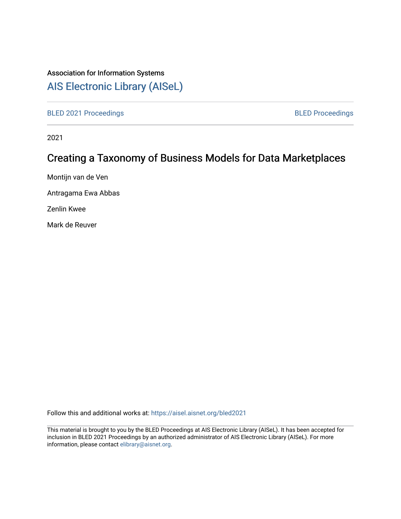## Association for Information Systems

# [AIS Electronic Library \(AISeL\)](https://aisel.aisnet.org/)

[BLED 2021 Proceedings](https://aisel.aisnet.org/bled2021) **BLED Proceedings** 

2021

# Creating a Taxonomy of Business Models for Data Marketplaces

Montijn van de Ven

Antragama Ewa Abbas

Zenlin Kwee

Mark de Reuver

Follow this and additional works at: [https://aisel.aisnet.org/bled2021](https://aisel.aisnet.org/bled2021?utm_source=aisel.aisnet.org%2Fbled2021%2F42&utm_medium=PDF&utm_campaign=PDFCoverPages) 

This material is brought to you by the BLED Proceedings at AIS Electronic Library (AISeL). It has been accepted for inclusion in BLED 2021 Proceedings by an authorized administrator of AIS Electronic Library (AISeL). For more information, please contact [elibrary@aisnet.org.](mailto:elibrary@aisnet.org%3E)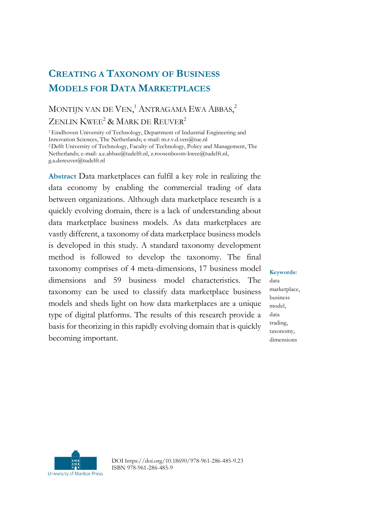## **CREATING A TAXONOMY OF BUSINESS MODELS FOR DATA MARKETPLACES**

## MONTIJN VAN DE VEN,<sup>1</sup> ANTRAGAMA EWA ABBAS,<sup>2</sup> ZENLIN KWEE<sup>2</sup> & MARK DE REUVER<sup>2</sup>

<sup>1</sup>Eindhoven University of Technology, Department of Industrial Engineering and Innovation Sciences, The Netherlands; e-mail: m.r.v.d.ven@tue.nl <sup>2</sup>Delft University of Technology, Faculty of Technology, Policy and Management, The Netherlands; e-mail: a.e.abbas@tudelft.nl, z.roosenboom-kwee@tudelft.nl, g.a.dereuver@tudelft.nl

**Abstract** Data marketplaces can fulfil a key role in realizing the data economy by enabling the commercial trading of data between organizations. Although data marketplace research is a quickly evolving domain, there is a lack of understanding about data marketplace business models. As data marketplaces are vastly different, a taxonomy of data marketplace business models is developed in this study. A standard taxonomy development method is followed to develop the taxonomy. The final taxonomy comprises of 4 meta-dimensions, 17 business model dimensions and 59 business model characteristics. The taxonomy can be used to classify data marketplace business models and sheds light on how data marketplaces are a unique type of digital platforms. The results of this research provide a basis for theorizing in this rapidly evolving domain that is quickly becoming important.

#### **Keywords:**

data marketplace, business model, data trading, taxonomy, dimensions



DOI https://doi.org/10.18690/978-961-286-485-9.23 ISBN 978-961-286-485-9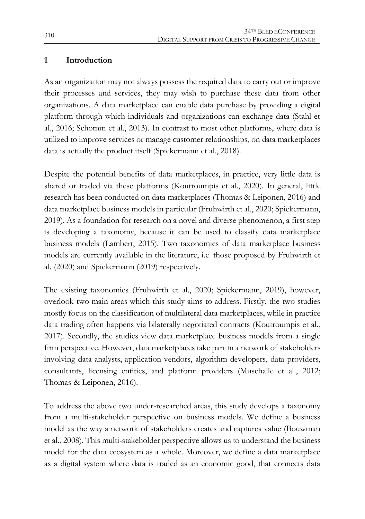## **1 Introduction**

As an organization may not always possess the required data to carry out or improve their processes and services, they may wish to purchase these data from other organizations. A data marketplace can enable data purchase by providing a digital platform through which individuals and organizations can exchange data (Stahl et al., 2016; Schomm et al., 2013). In contrast to most other platforms, where data is utilized to improve services or manage customer relationships, on data marketplaces data is actually the product itself (Spiekermann et al., 2018).

Despite the potential benefits of data marketplaces, in practice, very little data is shared or traded via these platforms (Koutroumpis et al., 2020). In general, little research has been conducted on data marketplaces (Thomas & Leiponen, 2016) and data marketplace business models in particular (Fruhwirth et al., 2020; Spiekermann, 2019). As a foundation for research on a novel and diverse phenomenon, a first step is developing a taxonomy, because it can be used to classify data marketplace business models (Lambert, 2015). Two taxonomies of data marketplace business models are currently available in the literature, i.e. those proposed by Fruhwirth et al. (2020) and Spiekermann (2019) respectively.

The existing taxonomies (Fruhwirth et al., 2020; Spiekermann, 2019), however, overlook two main areas which this study aims to address. Firstly, the two studies mostly focus on the classification of multilateral data marketplaces, while in practice data trading often happens via bilaterally negotiated contracts (Koutroumpis et al., 2017). Secondly, the studies view data marketplace business models from a single firm perspective. However, data marketplaces take part in a network of stakeholders involving data analysts, application vendors, algorithm developers, data providers, consultants, licensing entities, and platform providers (Muschalle et al., 2012; Thomas & Leiponen, 2016).

To address the above two under-researched areas, this study develops a taxonomy from a multi-stakeholder perspective on business models. We define a business model as the way a network of stakeholders creates and captures value (Bouwman et al., 2008). This multi-stakeholder perspective allows us to understand the business model for the data ecosystem as a whole. Moreover, we define a data marketplace as a digital system where data is traded as an economic good, that connects data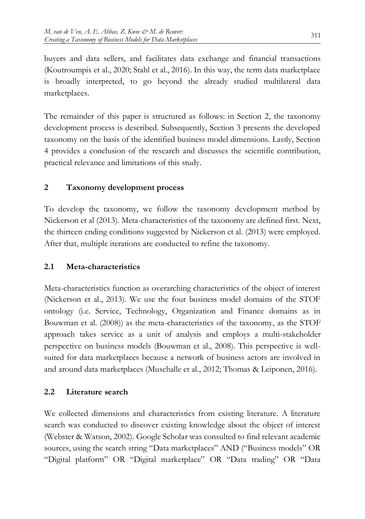buyers and data sellers, and facilitates data exchange and financial transactions (Koutroumpis et al., 2020; Stahl et al., 2016). In this way, the term data marketplace is broadly interpreted, to go beyond the already studied multilateral data marketplaces.

The remainder of this paper is structured as follows: in Section 2, the taxonomy development process is described. Subsequently, Section 3 presents the developed taxonomy on the basis of the identified business model dimensions. Lastly, Section 4 provides a conclusion of the research and discusses the scientific contribution, practical relevance and limitations of this study.

## **2 Taxonomy development process**

To develop the taxonomy, we follow the taxonomy development method by Nickerson et al (2013). Meta-characteristics of the taxonomy are defined first. Next, the thirteen ending conditions suggested by Nickerson et al. (2013) were employed. After that, multiple iterations are conducted to refine the taxonomy.

## **2.1 Meta-characteristics**

Meta-characteristics function as overarching characteristics of the object of interest (Nickerson et al., 2013). We use the four business model domains of the STOF ontology (i.e. Service, Technology, Organization and Finance domains as in Bouwman et al. (2008)) as the meta-characteristics of the taxonomy, as the STOF approach takes service as a unit of analysis and employs a multi-stakeholder perspective on business models (Bouwman et al., 2008). This perspective is wellsuited for data marketplaces because a network of business actors are involved in and around data marketplaces (Muschalle et al., 2012; Thomas & Leiponen, 2016).

## **2.2 Literature search**

We collected dimensions and characteristics from existing literature. A literature search was conducted to discover existing knowledge about the object of interest (Webster & Watson, 2002). Google Scholar was consulted to find relevant academic sources, using the search string "Data marketplaces" AND ("Business models" OR "Digital platform" OR "Digital marketplace" OR "Data trading" OR "Data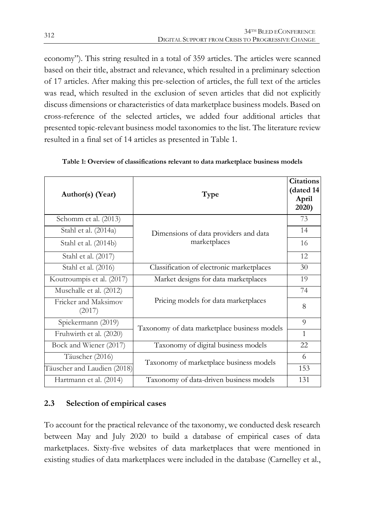economy"). This string resulted in a total of 359 articles. The articles were scanned based on their title, abstract and relevance, which resulted in a preliminary selection of 17 articles. After making this pre-selection of articles, the full text of the articles was read, which resulted in the exclusion of seven articles that did not explicitly discuss dimensions or characteristics of data marketplace business models. Based on cross-reference of the selected articles, we added four additional articles that presented topic-relevant business model taxonomies to the list. The literature review resulted in a final set of 14 articles as presented in Table 1.

| Author(s) (Year)               | Type                                         | <b>Citations</b><br>(dated 14<br>April<br>2020) |
|--------------------------------|----------------------------------------------|-------------------------------------------------|
| Schomm et al. (2013)           |                                              | 73                                              |
| Stahl et al. (2014a)           | Dimensions of data providers and data        | 14                                              |
| Stahl et al. (2014b)           | marketplaces                                 | 16                                              |
| Stahl et al. (2017)            |                                              | 12                                              |
| Stahl et al. (2016)            | Classification of electronic marketplaces    | 30                                              |
| Koutroumpis et al. (2017)      | Market designs for data marketplaces         | 19                                              |
| Muschalle et al. (2012)        |                                              | 74                                              |
| Fricker and Maksimov<br>(2017) | Pricing models for data marketplaces         | 8                                               |
| Spiekermann (2019)             | Taxonomy of data marketplace business models | 9                                               |
| Fruhwirth et al. (2020)        |                                              | $\mathbf{1}$                                    |
| Bock and Wiener (2017)         | Taxonomy of digital business models          | 22                                              |
| Täuscher (2016)                | Taxonomy of marketplace business models      | 6                                               |
| Täuscher and Laudien (2018)    |                                              | 153                                             |
| Hartmann et al. (2014)         | Taxonomy of data-driven business models      | 131                                             |

**Table 1: Overview of classifications relevant to data marketplace business models**

## **2.3 Selection of empirical cases**

To account for the practical relevance of the taxonomy, we conducted desk research between May and July 2020 to build a database of empirical cases of data marketplaces. Sixty-five websites of data marketplaces that were mentioned in existing studies of data marketplaces were included in the database (Carnelley et al.,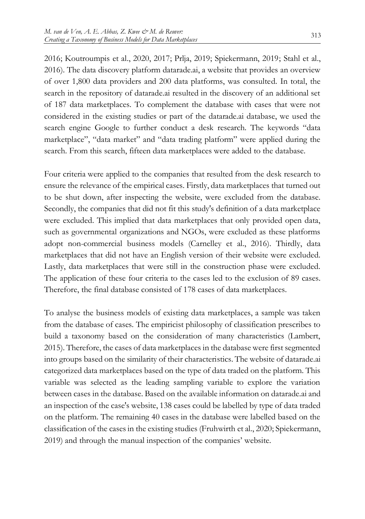2016; Koutroumpis et al., 2020, 2017; Prlja, 2019; Spiekermann, 2019; Stahl et al., 2016). The data discovery platform datarade.ai, a website that provides an overview of over 1,800 data providers and 200 data platforms, was consulted. In total, the search in the repository of datarade.ai resulted in the discovery of an additional set of 187 data marketplaces. To complement the database with cases that were not considered in the existing studies or part of the datarade.ai database, we used the search engine Google to further conduct a desk research. The keywords "data marketplace", "data market" and "data trading platform" were applied during the search. From this search, fifteen data marketplaces were added to the database.

Four criteria were applied to the companies that resulted from the desk research to ensure the relevance of the empirical cases. Firstly, data marketplaces that turned out to be shut down, after inspecting the website, were excluded from the database. Secondly, the companies that did not fit this study's definition of a data marketplace were excluded. This implied that data marketplaces that only provided open data, such as governmental organizations and NGOs, were excluded as these platforms adopt non-commercial business models (Carnelley et al., 2016). Thirdly, data marketplaces that did not have an English version of their website were excluded. Lastly, data marketplaces that were still in the construction phase were excluded. The application of these four criteria to the cases led to the exclusion of 89 cases. Therefore, the final database consisted of 178 cases of data marketplaces.

To analyse the business models of existing data marketplaces, a sample was taken from the database of cases. The empiricist philosophy of classification prescribes to build a taxonomy based on the consideration of many characteristics (Lambert, 2015). Therefore, the cases of data marketplaces in the database were first segmented into groups based on the similarity of their characteristics. The website of datarade.ai categorized data marketplaces based on the type of data traded on the platform. This variable was selected as the leading sampling variable to explore the variation between cases in the database. Based on the available information on datarade.ai and an inspection of the case's website, 138 cases could be labelled by type of data traded on the platform. The remaining 40 cases in the database were labelled based on the classification of the cases in the existing studies (Fruhwirth et al., 2020; Spiekermann, 2019) and through the manual inspection of the companies' website.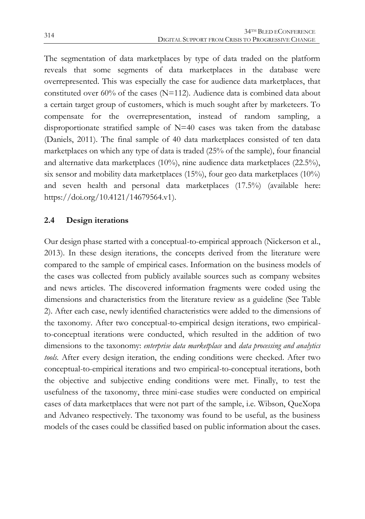The segmentation of data marketplaces by type of data traded on the platform reveals that some segments of data marketplaces in the database were overrepresented. This was especially the case for audience data marketplaces, that constituted over 60% of the cases (N=112). Audience data is combined data about a certain target group of customers, which is much sought after by marketeers. To compensate for the overrepresentation, instead of random sampling, a disproportionate stratified sample of N=40 cases was taken from the database (Daniels, 2011). The final sample of 40 data marketplaces consisted of ten data marketplaces on which any type of data is traded (25% of the sample), four financial and alternative data marketplaces (10%), nine audience data marketplaces (22.5%), six sensor and mobility data marketplaces (15%), four geo data marketplaces (10%) and seven health and personal data marketplaces (17.5%) (available here: https://doi.org/10.4121/14679564.v1).

## **2.4 Design iterations**

Our design phase started with a conceptual-to-empirical approach (Nickerson et al., 2013). In these design iterations, the concepts derived from the literature were compared to the sample of empirical cases. Information on the business models of the cases was collected from publicly available sources such as company websites and news articles. The discovered information fragments were coded using the dimensions and characteristics from the literature review as a guideline (See Table 2). After each case, newly identified characteristics were added to the dimensions of the taxonomy. After two conceptual-to-empirical design iterations, two empiricalto-conceptual iterations were conducted, which resulted in the addition of two dimensions to the taxonomy: *enterprise data marketplace* and *data processing and analytics tools*. After every design iteration, the ending conditions were checked. After two conceptual-to-empirical iterations and two empirical-to-conceptual iterations, both the objective and subjective ending conditions were met. Finally, to test the usefulness of the taxonomy, three mini-case studies were conducted on empirical cases of data marketplaces that were not part of the sample, i.e. Wibson, QueXopa and Advaneo respectively. The taxonomy was found to be useful, as the business models of the cases could be classified based on public information about the cases.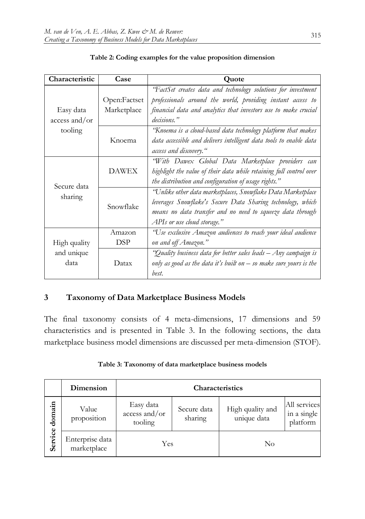| Characteristic               | Case                        | <b>Quote</b>                                                                                                                                                                                                                                                                                                                                                                   |  |  |
|------------------------------|-----------------------------|--------------------------------------------------------------------------------------------------------------------------------------------------------------------------------------------------------------------------------------------------------------------------------------------------------------------------------------------------------------------------------|--|--|
| Easy data<br>$access$ and/or | Open:Factset<br>Marketplace | 'FactSet creates data and technology solutions for investment<br>professionals around the world, providing instant access to<br>financial data and analytics that investors use to make crucial<br>decisions."<br>"Knoema is a cloud-based data technology platform that makes<br>data accessible and delivers intelligent data tools to enable data<br>access and discovery." |  |  |
| tooling                      | Knoema                      |                                                                                                                                                                                                                                                                                                                                                                                |  |  |
| Secure data<br>sharing       | <b>DAWEX</b>                | "With Dawex Global Data Marketplace providers can<br>highlight the value of their data while retaining full control over<br>the distribution and configuration of usage rights."                                                                                                                                                                                               |  |  |
|                              | Snowflake                   | "Unlike other data marketplaces, Snowflake Data Marketplace<br>leverages Snowflake's Secure Data Sharing technology, which<br>means no data transfer and no need to squeeze data through<br>APIs or use cloud storage."                                                                                                                                                        |  |  |
| High quality                 | Amazon<br>DSP               | "Use exclusive Amazon audiences to reach your ideal audience<br>on and off Amazon."                                                                                                                                                                                                                                                                                            |  |  |
| and unique<br>data           | Datax                       | "Quality business data for better sales leads – Any campaign is<br>only as good as the data it's built on $-$ so make sure yours is the<br>best.                                                                                                                                                                                                                               |  |  |

#### **Table 2: Coding examples for the value proposition dimension**

## **3 Taxonomy of Data Marketplace Business Models**

The final taxonomy consists of 4 meta-dimensions, 17 dimensions and 59 characteristics and is presented in Table 3. In the following sections, the data marketplace business model dimensions are discussed per meta-dimension (STOF).

|                   | Dimension                      | Characteristics                       |                        |                                 |                                         |  |
|-------------------|--------------------------------|---------------------------------------|------------------------|---------------------------------|-----------------------------------------|--|
| domain<br>Service | Value<br>proposition           | Easy data<br>access and/or<br>tooling | Secure data<br>sharing | High quality and<br>unique data | All services<br>in a single<br>platform |  |
|                   | Enterprise data<br>marketplace | Yes                                   |                        | No                              |                                         |  |

#### **Table 3: Taxonomy of data marketplace business models**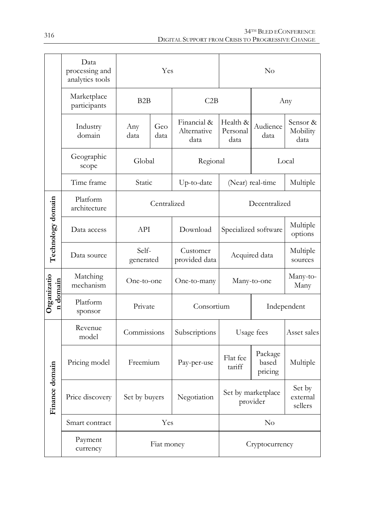|                         | Data<br>processing and<br>analytics tools | Yes                |                                                                |                                    | $\rm No$                     |                               |                              |  |
|-------------------------|-------------------------------------------|--------------------|----------------------------------------------------------------|------------------------------------|------------------------------|-------------------------------|------------------------------|--|
|                         | Marketplace<br>participants               | B <sub>2</sub> B   |                                                                | C2B                                |                              |                               | Any                          |  |
|                         | Industry<br>domain                        | Any<br>data        | Geo<br>data                                                    | Financial &<br>Alternative<br>data | Health &<br>Personal<br>data | Audience<br>data              | Sensor &<br>Mobility<br>data |  |
|                         | Geographic<br>scope                       | Global             |                                                                | Regional                           |                              |                               | Local                        |  |
|                         | Time frame                                | Static             |                                                                | Up-to-date                         | (Near) real-time             |                               | Multiple                     |  |
|                         | Platform<br>architecture                  | Centralized        |                                                                |                                    | Decentralized                |                               |                              |  |
| Technology domain       | Data access                               | API                |                                                                | Download                           | Specialized software         |                               | Multiple<br>options          |  |
|                         | Data source                               | Self-<br>generated |                                                                | Customer<br>provided data          | Acquired data                |                               | Multiple<br>sources          |  |
| Organizatio<br>n domain | Matching<br>mechanism                     | One-to-one         |                                                                | One-to-many                        | Many-to-one                  |                               | Many-to-<br>Many             |  |
|                         | Platform<br>sponsor                       | Private            |                                                                | Consortium                         |                              |                               | Independent                  |  |
| Finance domain          | Revenue<br>model                          | Commissions        |                                                                | Subscriptions                      | Usage fees                   |                               | Asset sales                  |  |
|                         | Pricing model                             | Freemium           |                                                                | Pay-per-use                        | Flat fee<br>tariff           | Package<br>based<br>pricing   | Multiple                     |  |
|                         | Price discovery                           |                    | Set by marketplace<br>Set by buyers<br>Negotiation<br>provider |                                    |                              | Set by<br>external<br>sellers |                              |  |
|                         | Smart contract                            | Yes                |                                                                | $\rm No$                           |                              |                               |                              |  |
|                         | Payment<br>currency                       | Fiat money         |                                                                | Cryptocurrency                     |                              |                               |                              |  |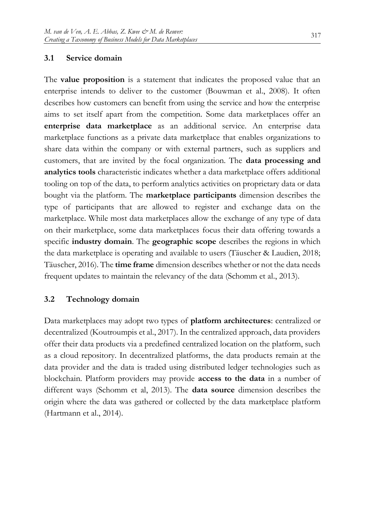## **3.1 Service domain**

The **value proposition** is a statement that indicates the proposed value that an enterprise intends to deliver to the customer (Bouwman et al., 2008). It often describes how customers can benefit from using the service and how the enterprise aims to set itself apart from the competition. Some data marketplaces offer an **enterprise data marketplace** as an additional service. An enterprise data marketplace functions as a private data marketplace that enables organizations to share data within the company or with external partners, such as suppliers and customers, that are invited by the focal organization. The **data processing and analytics tools** characteristic indicates whether a data marketplace offers additional tooling on top of the data, to perform analytics activities on proprietary data or data bought via the platform. The **marketplace participants** dimension describes the type of participants that are allowed to register and exchange data on the marketplace. While most data marketplaces allow the exchange of any type of data on their marketplace, some data marketplaces focus their data offering towards a specific **industry domain**. The **geographic scope** describes the regions in which the data marketplace is operating and available to users (Täuscher & Laudien, 2018; Täuscher, 2016). The **time frame** dimension describes whether or not the data needs frequent updates to maintain the relevancy of the data (Schomm et al., 2013).

## **3.2 Technology domain**

Data marketplaces may adopt two types of **platform architectures**: centralized or decentralized (Koutroumpis et al., 2017). In the centralized approach, data providers offer their data products via a predefined centralized location on the platform, such as a cloud repository. In decentralized platforms, the data products remain at the data provider and the data is traded using distributed ledger technologies such as blockchain. Platform providers may provide **access to the data** in a number of different ways (Schomm et al, 2013). The **data source** dimension describes the origin where the data was gathered or collected by the data marketplace platform (Hartmann et al., 2014).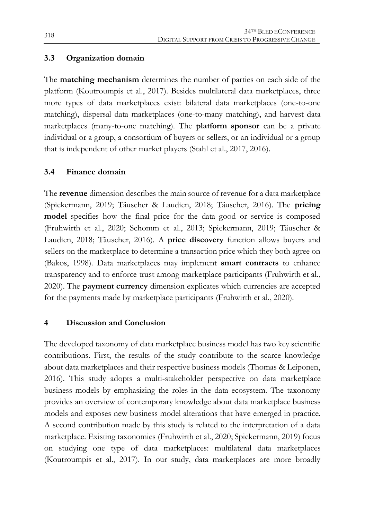## **3.3 Organization domain**

The **matching mechanism** determines the number of parties on each side of the platform (Koutroumpis et al., 2017). Besides multilateral data marketplaces, three more types of data marketplaces exist: bilateral data marketplaces (one-to-one matching), dispersal data marketplaces (one-to-many matching), and harvest data marketplaces (many-to-one matching). The **platform sponsor** can be a private individual or a group, a consortium of buyers or sellers, or an individual or a group that is independent of other market players (Stahl et al., 2017, 2016).

## **3.4 Finance domain**

The **revenue** dimension describes the main source of revenue for a data marketplace (Spiekermann, 2019; Täuscher & Laudien, 2018; Täuscher, 2016). The **pricing model** specifies how the final price for the data good or service is composed (Fruhwirth et al., 2020; Schomm et al., 2013; Spiekermann, 2019; Täuscher & Laudien, 2018; Täuscher, 2016). A **price discovery** function allows buyers and sellers on the marketplace to determine a transaction price which they both agree on (Bakos, 1998). Data marketplaces may implement **smart contracts** to enhance transparency and to enforce trust among marketplace participants (Fruhwirth et al., 2020). The **payment currency** dimension explicates which currencies are accepted for the payments made by marketplace participants (Fruhwirth et al., 2020).

#### **4 Discussion and Conclusion**

The developed taxonomy of data marketplace business model has two key scientific contributions. First, the results of the study contribute to the scarce knowledge about data marketplaces and their respective business models (Thomas & Leiponen, 2016). This study adopts a multi-stakeholder perspective on data marketplace business models by emphasizing the roles in the data ecosystem. The taxonomy provides an overview of contemporary knowledge about data marketplace business models and exposes new business model alterations that have emerged in practice. A second contribution made by this study is related to the interpretation of a data marketplace. Existing taxonomies (Fruhwirth et al., 2020; Spiekermann, 2019) focus on studying one type of data marketplaces: multilateral data marketplaces (Koutroumpis et al., 2017). In our study, data marketplaces are more broadly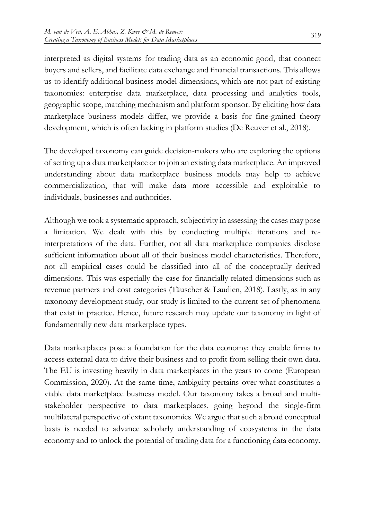interpreted as digital systems for trading data as an economic good, that connect buyers and sellers, and facilitate data exchange and financial transactions. This allows us to identify additional business model dimensions, which are not part of existing taxonomies: enterprise data marketplace, data processing and analytics tools, geographic scope, matching mechanism and platform sponsor. By eliciting how data marketplace business models differ, we provide a basis for fine-grained theory development, which is often lacking in platform studies (De Reuver et al., 2018).

The developed taxonomy can guide decision-makers who are exploring the options of setting up a data marketplace or to join an existing data marketplace. An improved understanding about data marketplace business models may help to achieve commercialization, that will make data more accessible and exploitable to individuals, businesses and authorities.

Although we took a systematic approach, subjectivity in assessing the cases may pose a limitation. We dealt with this by conducting multiple iterations and reinterpretations of the data. Further, not all data marketplace companies disclose sufficient information about all of their business model characteristics. Therefore, not all empirical cases could be classified into all of the conceptually derived dimensions. This was especially the case for financially related dimensions such as revenue partners and cost categories (Täuscher & Laudien, 2018). Lastly, as in any taxonomy development study, our study is limited to the current set of phenomena that exist in practice. Hence, future research may update our taxonomy in light of fundamentally new data marketplace types.

Data marketplaces pose a foundation for the data economy: they enable firms to access external data to drive their business and to profit from selling their own data. The EU is investing heavily in data marketplaces in the years to come (European Commission, 2020). At the same time, ambiguity pertains over what constitutes a viable data marketplace business model. Our taxonomy takes a broad and multistakeholder perspective to data marketplaces, going beyond the single-firm multilateral perspective of extant taxonomies. We argue that such a broad conceptual basis is needed to advance scholarly understanding of ecosystems in the data economy and to unlock the potential of trading data for a functioning data economy.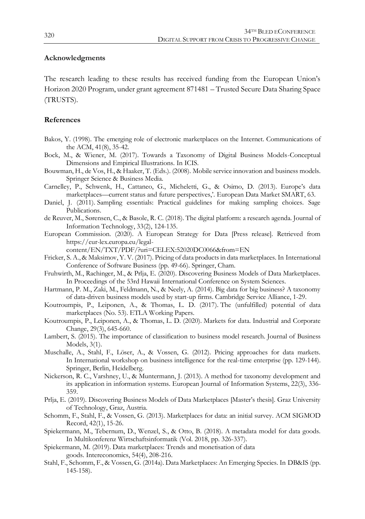#### **Acknowledgments**

The research leading to these results has received funding from the European Union's Horizon 2020 Program, under grant agreement 871481 – Trusted Secure Data Sharing Space (TRUSTS).

#### **References**

- Bakos, Y. (1998). The emerging role of electronic marketplaces on the Internet. Communications of the ACM, 41(8), 35-42.
- Bock, M., & Wiener, M. (2017). Towards a Taxonomy of Digital Business Models-Conceptual Dimensions and Empirical Illustrations. In ICIS.
- Bouwman, H., de Vos, H., & Haaker, T. (Eds.). (2008). Mobile service innovation and business models. Springer Science & Business Media.
- Carnelley, P., Schwenk, H., Cattaneo, G., Micheletti, G., & Osimo, D. (2013). Europe's data marketplaces—current status and future perspectives,'. European Data Market SMART, 63.
- Daniel, J. (2011). Sampling essentials: Practical guidelines for making sampling choices. Sage Publications.
- de Reuver, M., Sørensen, C., & Basole, R. C. (2018). The digital platform: a research agenda. Journal of Information Technology, 33(2), 124-135.
- European Commission. (2020). A European Strategy for Data [Press release]. Retrieved from https://eur-lex.europa.eu/legal
	- content/EN/TXT/PDF/?uri=CELEX:52020DC0066&from=EN
- Fricker, S. A., & Maksimov, Y. V. (2017). Pricing of data products in data marketplaces. In International Conference of Software Business (pp. 49-66). Springer, Cham.
- Fruhwirth, M., Rachinger, M., & Prlja, E. (2020). Discovering Business Models of Data Marketplaces. In Proceedings of the 53rd Hawaii International Conference on System Sciences.
- Hartmann, P. M., Zaki, M., Feldmann, N., & Neely, A. (2014). Big data for big business? A taxonomy of data-driven business models used by start-up firms. Cambridge Service Alliance, 1-29.
- Koutroumpis, P., Leiponen, A., & Thomas, L. D. (2017). The (unfulfilled) potential of data marketplaces (No. 53). ETLA Working Papers.
- Koutroumpis, P., Leiponen, A., & Thomas, L. D. (2020). Markets for data. Industrial and Corporate Change, 29(3), 645-660.
- Lambert, S. (2015). The importance of classification to business model research. Journal of Business Models, 3(1).
- Muschalle, A., Stahl, F., Löser, A., & Vossen, G. (2012). Pricing approaches for data markets. In International workshop on business intelligence for the real-time enterprise (pp. 129-144). Springer, Berlin, Heidelberg.
- Nickerson, R. C., Varshney, U., & Muntermann, J. (2013). A method for taxonomy development and its application in information systems. European Journal of Information Systems, 22(3), 336- 359.
- Prlja, E. (2019). Discovering Business Models of Data Marketplaces [Master's thesis]. Graz University of Technology, Graz, Austria.
- Schomm, F., Stahl, F., & Vossen, G. (2013). Marketplaces for data: an initial survey. ACM SIGMOD Record, 42(1), 15-26.
- Spiekermann, M., Tebernum, D., Wenzel, S., & Otto, B. (2018). A metadata model for data goods. In Multikonferenz Wirtschaftsinformatik (Vol. 2018, pp. 326-337).
- Spiekermann, M. (2019). Data marketplaces: Trends and monetisation of data goods. Intereconomics, 54(4), 208-216.
- Stahl, F., Schomm, F., & Vossen, G. (2014a). Data Marketplaces: An Emerging Species. In DB&IS (pp. 145-158).